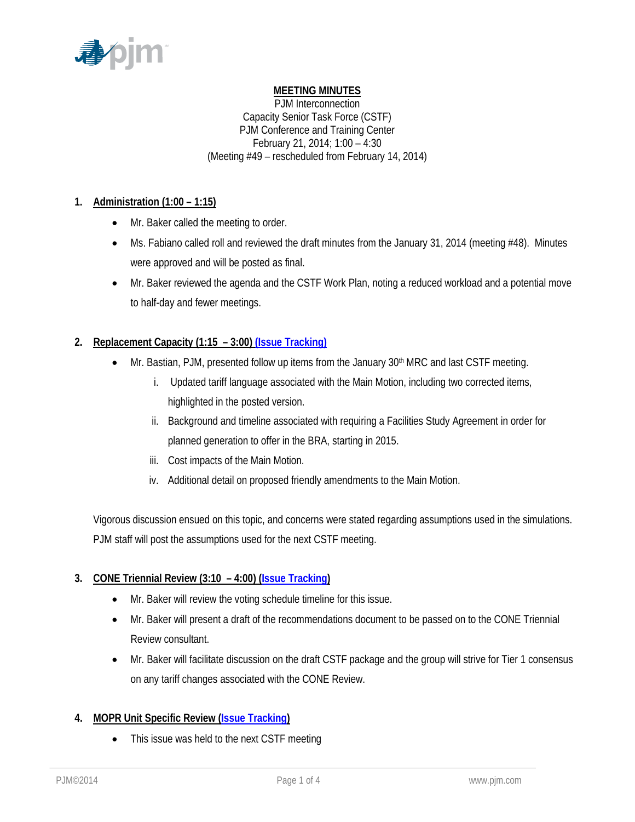

# **MEETING MINUTES**

PJM Interconnection Capacity Senior Task Force (CSTF) PJM Conference and Training Center February 21, 2014; 1:00 – 4:30 (Meeting #49 – rescheduled from February 14, 2014)

## **1. Administration (1:00 – 1:15)**

- Mr. Baker called the meeting to order.
- Ms. Fabiano called roll and reviewed the draft minutes from the January 31, 2014 (meeting #48). Minutes were approved and will be posted as final.
- Mr. Baker reviewed the agenda and the CSTF Work Plan, noting a reduced workload and a potential move to half-day and fewer meetings.

## **2. Replacement Capacity (1:15 – 3:00) [\(Issue Tracking\)](http://www.pjm.com/committees-and-groups/issue-tracking/issue-tracking-details.aspx?Issue=%7b0D0E7DC9-432E-4207-B27D-9EF7D07ADC25%7d)**

- Mr. Bastian, PJM, presented follow up items from the January  $30<sup>th</sup>$  MRC and last CSTF meeting.
	- i. Updated tariff language associated with the Main Motion, including two corrected items, highlighted in the posted version.
	- ii. Background and timeline associated with requiring a Facilities Study Agreement in order for planned generation to offer in the BRA, starting in 2015.
	- iii. Cost impacts of the Main Motion.
	- iv. Additional detail on proposed friendly amendments to the Main Motion.

Vigorous discussion ensued on this topic, and concerns were stated regarding assumptions used in the simulations. PJM staff will post the assumptions used for the next CSTF meeting.

### **3. CONE Triennial Review (3:10 – 4:00) [\(Issue Tracking\)](http://www.pjm.com/committees-and-groups/issue-tracking/issue-tracking-details.aspx?Issue=%7bE4A0F3EC-E7F8-4ABD-853F-4D43F8D50103%7d)**

- Mr. Baker will review the voting schedule timeline for this issue.
- Mr. Baker will present a draft of the recommendations document to be passed on to the CONE Triennial Review consultant.
- Mr. Baker will facilitate discussion on the draft CSTF package and the group will strive for Tier 1 consensus on any tariff changes associated with the CONE Review.

## **4. MOPR Unit Specific Review [\(Issue Tracking\)](http://www.pjm.com/committees-and-groups/issue-tracking/issue-tracking-details.aspx?Issue=%7b615F4A47-A683-4E2F-90EA-10FFFCBFA91D%7d)**

• This issue was held to the next CSTF meeting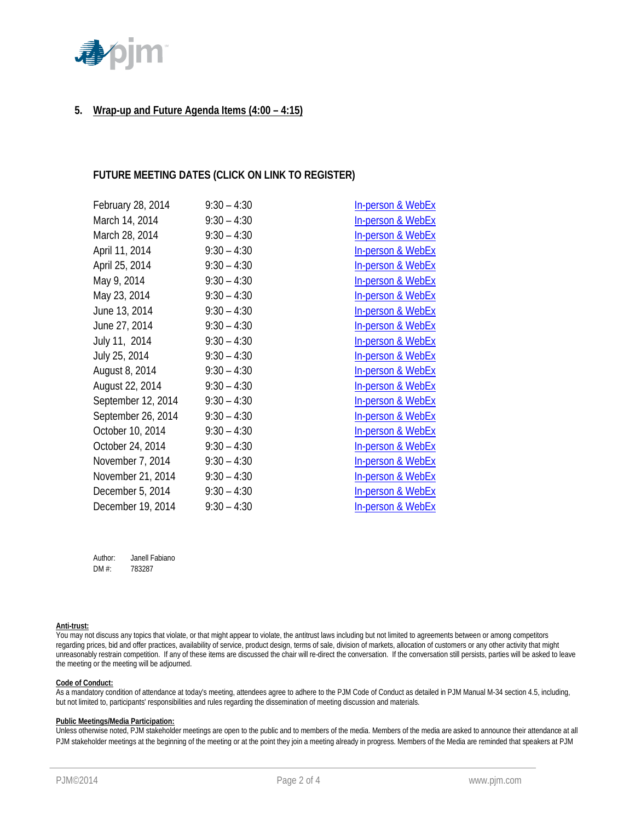

## **5. Wrap-up and Future Agenda Items (4:00 – 4:15)**

### **FUTURE MEETING DATES (CLICK ON LINK TO REGISTER)**

| February 28, 2014  | $9:30 - 4:30$ | In-person & WebEx            |
|--------------------|---------------|------------------------------|
| March 14, 2014     | $9:30 - 4:30$ | In-person & WebEx            |
| March 28, 2014     | $9:30 - 4:30$ | In-person & WebEx            |
| April 11, 2014     | $9:30 - 4:30$ | <b>In-person &amp; WebEx</b> |
| April 25, 2014     | $9:30 - 4:30$ | In-person & WebEx            |
| May 9, 2014        | $9:30 - 4:30$ | In-person & WebEx            |
| May 23, 2014       | $9:30 - 4:30$ | In-person & WebEx            |
| June 13, 2014      | $9:30 - 4:30$ | <b>In-person &amp; WebEx</b> |
| June 27, 2014      | $9:30 - 4:30$ | <b>In-person &amp; WebEx</b> |
| July 11, 2014      | $9:30 - 4:30$ | In-person & WebEx            |
| July 25, 2014      | $9:30 - 4:30$ | <b>In-person &amp; WebEx</b> |
| August 8, 2014     | $9:30 - 4:30$ | In-person & WebEx            |
| August 22, 2014    | $9:30 - 4:30$ | In-person & WebEx            |
| September 12, 2014 | $9:30 - 4:30$ | In-person & WebEx            |
| September 26, 2014 | $9:30 - 4:30$ | In-person & WebEx            |
| October 10, 2014   | $9:30 - 4:30$ | In-person & WebEx            |
| October 24, 2014   | $9:30 - 4:30$ | In-person & WebEx            |
| November 7, 2014   | $9:30 - 4:30$ | <b>In-person &amp; WebEx</b> |
| November 21, 2014  | $9:30 - 4:30$ | In-person & WebEx            |
| December 5, 2014   | $9:30 - 4:30$ | <b>In-person &amp; WebEx</b> |
| December 19, 2014  | $9:30 - 4:30$ | <b>In-person &amp; WebEx</b> |

Author: Janell Fabiano DM #: 783287

#### **Anti-trust:**

You may not discuss any topics that violate, or that might appear to violate, the antitrust laws including but not limited to agreements between or among competitors regarding prices, bid and offer practices, availability of service, product design, terms of sale, division of markets, allocation of customers or any other activity that might unreasonably restrain competition. If any of these items are discussed the chair will re-direct the conversation. If the conversation still persists, parties will be asked to leave the meeting or the meeting will be adjourned.

#### **Code of Conduct:**

As a mandatory condition of attendance at today's meeting, attendees agree to adhere to the PJM Code of Conduct as detailed in PJM Manual M-34 section 4.5, including, but not limited to, participants' responsibilities and rules regarding the dissemination of meeting discussion and materials.

#### **Public Meetings/Media Participation:**

Unless otherwise noted, PJM stakeholder meetings are open to the public and to members of the media. Members of the media are asked to announce their attendance at all PJM stakeholder meetings at the beginning of the meeting or at the point they join a meeting already in progress. Members of the Media are reminded that speakers at PJM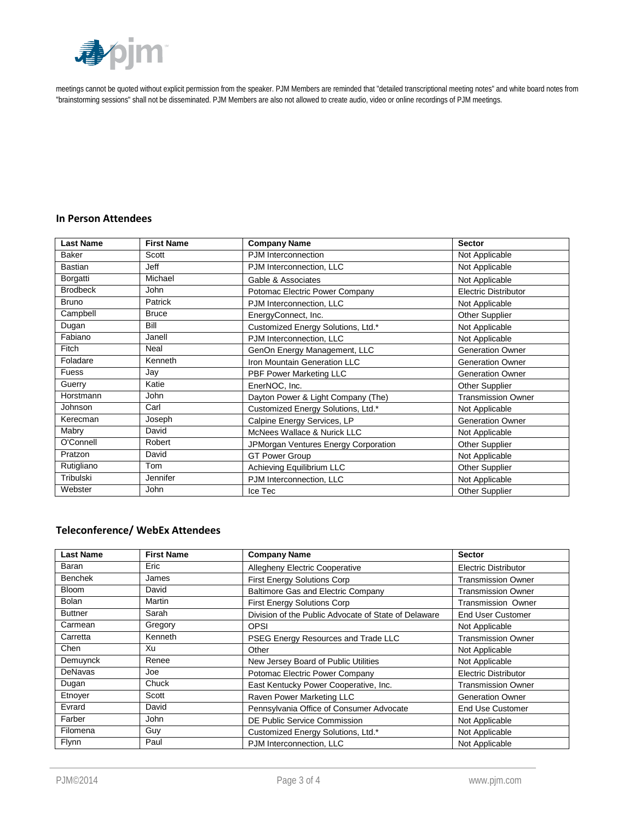

meetings cannot be quoted without explicit permission from the speaker. PJM Members are reminded that "detailed transcriptional meeting notes" and white board notes from "brainstorming sessions" shall not be disseminated. PJM Members are also not allowed to create audio, video or online recordings of PJM meetings.

## **In Person Attendees**

| <b>Last Name</b> | <b>First Name</b> | <b>Company Name</b>                  | <b>Sector</b>               |
|------------------|-------------------|--------------------------------------|-----------------------------|
| <b>Baker</b>     | Scott             | PJM Interconnection                  | Not Applicable              |
| Bastian          | Jeff              | PJM Interconnection, LLC             | Not Applicable              |
| Borgatti         | Michael           | Gable & Associates                   | Not Applicable              |
| <b>Brodbeck</b>  | <b>John</b>       | Potomac Electric Power Company       | <b>Electric Distributor</b> |
| <b>Bruno</b>     | Patrick           | PJM Interconnection, LLC             | Not Applicable              |
| Campbell         | <b>Bruce</b>      | EnergyConnect, Inc.                  | <b>Other Supplier</b>       |
| Dugan            | Bill              | Customized Energy Solutions, Ltd.*   | Not Applicable              |
| Fabiano          | Janell            | PJM Interconnection, LLC             | Not Applicable              |
| Fitch            | Neal              | GenOn Energy Management, LLC         | <b>Generation Owner</b>     |
| Foladare         | Kenneth           | Iron Mountain Generation LLC         | <b>Generation Owner</b>     |
| <b>Fuess</b>     | Jay               | PBF Power Marketing LLC              | <b>Generation Owner</b>     |
| Guerry           | Katie             | EnerNOC, Inc.                        | <b>Other Supplier</b>       |
| Horstmann        | <b>John</b>       | Dayton Power & Light Company (The)   | <b>Transmission Owner</b>   |
| Johnson          | Carl              | Customized Energy Solutions, Ltd.*   | Not Applicable              |
| Kerecman         | Joseph            | Calpine Energy Services, LP          | <b>Generation Owner</b>     |
| Mabry            | David             | McNees Wallace & Nurick LLC          | Not Applicable              |
| O'Connell        | Robert            | JPMorgan Ventures Energy Corporation | Other Supplier              |
| Pratzon          | David             | <b>GT Power Group</b>                | Not Applicable              |
| Rutigliano       | Tom               | Achieving Equilibrium LLC            | <b>Other Supplier</b>       |
| Tribulski        | Jennifer          | PJM Interconnection, LLC             | Not Applicable              |
| Webster          | John              | Ice Tec                              | <b>Other Supplier</b>       |

#### **Teleconference/ WebEx Attendees**

| <b>Last Name</b> | <b>First Name</b> | <b>Company Name</b>                                  | <b>Sector</b>               |
|------------------|-------------------|------------------------------------------------------|-----------------------------|
| Baran            | Eric              | <b>Allegheny Electric Cooperative</b>                | <b>Electric Distributor</b> |
| <b>Benchek</b>   | James             | <b>First Energy Solutions Corp</b>                   | <b>Transmission Owner</b>   |
| <b>Bloom</b>     | David             | <b>Baltimore Gas and Electric Company</b>            | <b>Transmission Owner</b>   |
| <b>Bolan</b>     | Martin            | <b>First Energy Solutions Corp</b>                   | <b>Transmission Owner</b>   |
| <b>Buttner</b>   | Sarah             | Division of the Public Advocate of State of Delaware | End User Customer           |
| Carmean          | Gregory           | <b>OPSI</b>                                          | Not Applicable              |
| Carretta         | Kenneth           | PSEG Energy Resources and Trade LLC                  | <b>Transmission Owner</b>   |
| Chen             | Xu                | Other                                                | Not Applicable              |
| Demuynck         | Renee             | New Jersey Board of Public Utilities                 | Not Applicable              |
| <b>DeNavas</b>   | Joe               | Potomac Electric Power Company                       | <b>Electric Distributor</b> |
| Dugan            | Chuck             | East Kentucky Power Cooperative, Inc.                | <b>Transmission Owner</b>   |
| Etnoyer          | Scott             | Raven Power Marketing LLC                            | <b>Generation Owner</b>     |
| Evrard           | David             | Pennsylvania Office of Consumer Advocate             | <b>End Use Customer</b>     |
| Farber           | John              | DE Public Service Commission                         | Not Applicable              |
| Filomena         | Guy               | Customized Energy Solutions, Ltd.*                   | Not Applicable              |
| <b>Flynn</b>     | Paul              | PJM Interconnection, LLC                             | Not Applicable              |